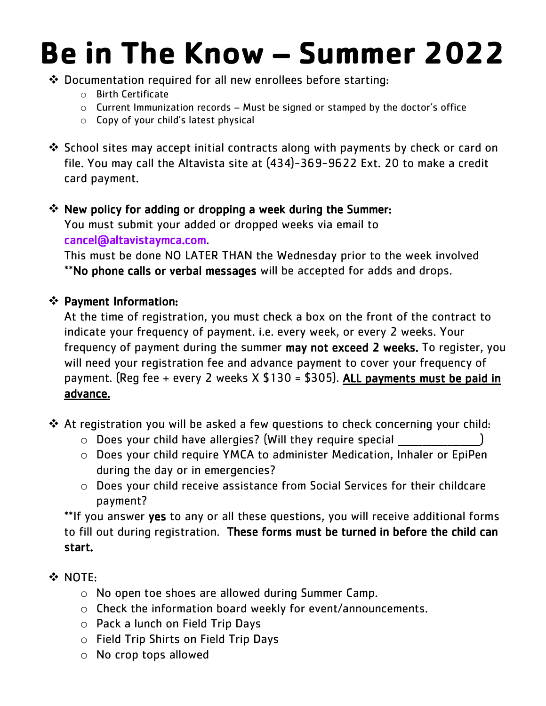## **Be in The Know – Summer 2022**

- ❖ Documentation required for all new enrollees before starting:
	- o Birth Certificate
	- o Current Immunization records Must be signed or stamped by the doctor's office
	- o Copy of your child's latest physical
- ❖ School sites may accept initial contracts along with payments by check or card on file. You may call the Altavista site at (434)-369-9622 Ext. 20 to make a credit card payment.

## ❖ New policy for adding or dropping a week during the Summer:

You must submit your added or dropped weeks via email to [cancel@altavistaymca.com.](mailto:cancel@altavistaymca.com)

This must be done NO LATER THAN the Wednesday prior to the week involved \*\*No phone calls or verbal messages will be accepted for adds and drops.

## ❖ Payment Information:

At the time of registration, you must check a box on the front of the contract to indicate your frequency of payment. i.e. every week, or every 2 weeks. Your frequency of payment during the summer may not exceed 2 weeks. To register, you will need your registration fee and advance payment to cover your frequency of payment. (Reg fee + every 2 weeks  $X $130 = $305$ ). ALL payments must be paid in advance.

- ❖ At registration you will be asked a few questions to check concerning your child:
	- $\circ$  Does your child have allergies? (Will they require special
	- o Does your child require YMCA to administer Medication, Inhaler or EpiPen during the day or in emergencies?
	- o Does your child receive assistance from Social Services for their childcare payment?

\*\*If you answer yes to any or all these questions, you will receive additional forms to fill out during registration. These forms must be turned in before the child can start.

- ❖ NOTE:
	- o No open toe shoes are allowed during Summer Camp.
	- o Check the information board weekly for event/announcements.
	- o Pack a lunch on Field Trip Days
	- o Field Trip Shirts on Field Trip Days
	- o No crop tops allowed